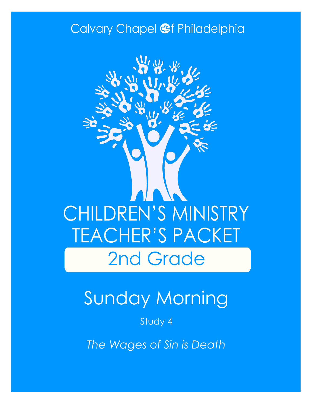### Calvary Chapel @f Philadelphia



# Sunday Morning

Study 4

*The Wages of Sin is Death*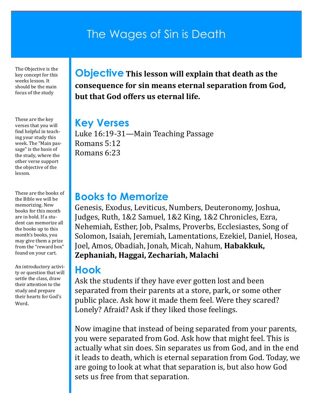### The Wages of Sin is Death

The Objective is the key concept for this weeks lesson. It should be the main focus of the study

These are the key verses that you will find helpful in teaching your study this week. The "Main passage" is the basis of the study, where the other verse support the objective of the lesson.

These are the books of the Bible we will be memorizing. New books for this month are in bold. If a student can memorize all the books up to this month's books, you may give them a prize from the "reward box" found on your cart.

An introductory activity or question that will settle the class, draw their attention to the study and prepare their hearts for God's Word.

**Objective This lesson will explain that death as the consequence for sin means eternal separation from God, but that God offers us eternal life.**

#### **Key Verses**

Luke 16:19-31—Main Teaching Passage Romans 5:12 Romans 6:23

#### **Books to Memorize**

Genesis, Exodus, Leviticus, Numbers, Deuteronomy, Joshua, Judges, Ruth, 1&2 Samuel, 1&2 King, 1&2 Chronicles, Ezra, Nehemiah, Esther, Job, Psalms, Proverbs, Ecclesiastes, Song of Solomon, Isaiah, Jeremiah, Lamentations, Ezekiel, Daniel, Hosea, Joel, Amos, Obadiah, Jonah, Micah, Nahum, **Habakkuk, Zephaniah, Haggai, Zechariah, Malachi**

#### **Hook**

Ask the students if they have ever gotten lost and been separated from their parents at a store, park, or some other public place. Ask how it made them feel. Were they scared? Lonely? Afraid? Ask if they liked those feelings.

Now imagine that instead of being separated from your parents, you were separated from God. Ask how that might feel. This is actually what sin does. Sin separates us from God, and in the end it leads to death, which is eternal separation from God. Today, we are going to look at what that separation is, but also how God sets us free from that separation.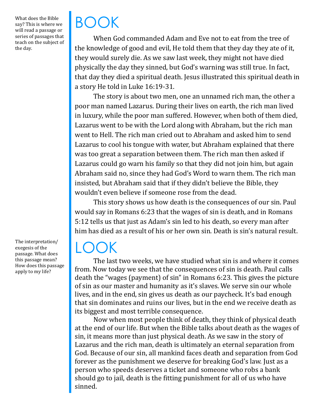What does the Bible say? This is where we will read a passage or series of passages that teach on the subject of the day.

BOOK

When God commanded Adam and Eve not to eat from the tree of the knowledge of good and evil, He told them that they day they ate of it, they would surely die. As we saw last week, they might not have died physically the day they sinned, but God's warning was still true. In fact, that day they died a spiritual death. Jesus illustrated this spiritual death in a story He told in Luke 16:19-31.

The story is about two men, one an unnamed rich man, the other a poor man named Lazarus. During their lives on earth, the rich man lived in luxury, while the poor man suffered. However, when both of them died, Lazarus went to be with the Lord along with Abraham, but the rich man went to Hell. The rich man cried out to Abraham and asked him to send Lazarus to cool his tongue with water, but Abraham explained that there was too great a separation between them. The rich man then asked if Lazarus could go warn his family so that they did not join him, but again Abraham said no, since they had God's Word to warn them. The rich man insisted, but Abraham said that if they didn't believe the Bible, they wouldn't even believe if someone rose from the dead.

This story shows us how death is the consequences of our sin. Paul would say in Romans 6:23 that the wages of sin is death, and in Romans 5:12 tells us that just as Adam's sin led to his death, so every man after him has died as a result of his or her own sin. Death is sin's natural result.

### LOOK

The last two weeks, we have studied what sin is and where it comes from. Now today we see that the consequences of sin is death. Paul calls death the "wages (payment) of sin" in Romans 6:23. This gives the picture of sin as our master and humanity as it's slaves. We serve sin our whole lives, and in the end, sin gives us death as our paycheck. It's bad enough that sin dominates and ruins our lives, but in the end we receive death as its biggest and most terrible consequence.

Now when most people think of death, they think of physical death at the end of our life. But when the Bible talks about death as the wages of sin, it means more than just physical death. As we saw in the story of Lazarus and the rich man, death is ultimately an eternal separation from God. Because of our sin, all mankind faces death and separation from God forever as the punishment we deserve for breaking God's law. Just as a person who speeds deserves a ticket and someone who robs a bank should go to jail, death is the fitting punishment for all of us who have sinned.

The interpretation/ exegesis of the passage. What does this passage mean? How does this passage apply to my life?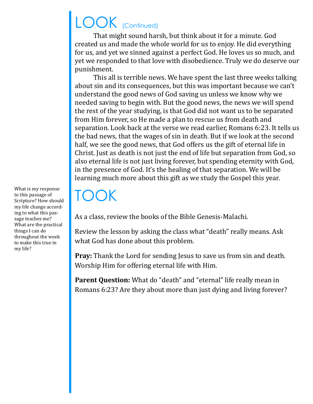# LOOK (Continued)

That might sound harsh, but think about it for a minute. God created us and made the whole world for us to enjoy. He did everything for us, and yet we sinned against a perfect God. He loves us so much, and yet we responded to that love with disobedience. Truly we do deserve our punishment.

This all is terrible news. We have spent the last three weeks talking about sin and its consequences, but this was important because we can't understand the good news of God saving us unless we know why we needed saving to begin with. But the good news, the news we will spend the rest of the year studying, is that God did not want us to be separated from Him forever, so He made a plan to rescue us from death and separation. Look back at the verse we read earlier, Romans 6:23. It tells us the bad news, that the wages of sin in death. But if we look at the second half, we see the good news, that God offers us the gift of eternal life in Christ. Just as death is not just the end of life but separation from God, so also eternal life is not just living forever, but spending eternity with God, in the presence of God. It's the healing of that separation. We will be learning much more about this gift as we study the Gospel this year.

## TOOK

As a class, review the books of the Bible Genesis-Malachi.

Review the lesson by asking the class what "death" really means. Ask what God has done about this problem.

**Pray:** Thank the Lord for sending Jesus to save us from sin and death. Worship Him for offering eternal life with Him.

**Parent Question:** What do "death" and "eternal" life really mean in Romans 6:23? Are they about more than just dying and living forever?

What is my response to this passage of Scripture? How should my life change according to what this passage teaches me? What are the practical things I can do throughout the week to make this true in my life?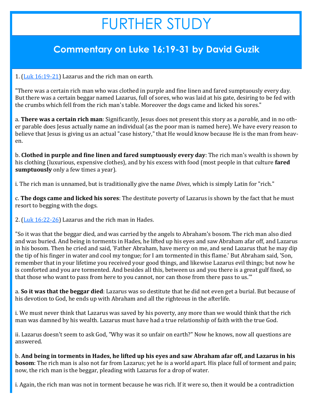# FURTHER STUDY

#### **Commentary on Luke 16:19-31 by David Guzik**

1. [\(Luk 16:19](https://www.blueletterbible.org/kjv/luke/16/19-21/s_989019)-21) Lazarus and the rich man on earth.

"There was a certain rich man who was clothed in purple and fine linen and fared sumptuously every day. But there was a certain beggar named Lazarus, full of sores, who was laid at his gate, desiring to be fed with the crumbs which fell from the rich man's table. Moreover the dogs came and licked his sores."

a. **There was a certain rich man**: Significantly, Jesus does not present this story as a *parable*, and in no other parable does Jesus actually name an individual (as the poor man is named here). We have every reason to believe that Jesus is giving us an actual "case history," that He would know because He is the man from heaven.

b. **Clothed in purple and fine linen and fared sumptuously every day**: The rich man's wealth is shown by his clothing (luxurious, expensive clothes), and by his excess with food (most people in that culture **fared sumptuously** only a few times a year).

i. The rich man is unnamed, but is traditionally give the name *Dives*, which is simply Latin for "rich."

c. **The dogs came and licked his sores**: The destitute poverty of Lazarus is shown by the fact that he must resort to begging with the dogs.

2.  $(Luk 16:22-26)$  $(Luk 16:22-26)$  Lazarus and the rich man in Hades.

"So it was that the beggar died, and was carried by the angels to Abraham's bosom. The rich man also died and was buried. And being in torments in Hades, he lifted up his eyes and saw Abraham afar off, and Lazarus in his bosom. Then he cried and said, 'Father Abraham, have mercy on me, and send Lazarus that he may dip the tip of his finger in water and cool my tongue; for I am tormented in this flame.' But Abraham said, 'Son, remember that in your lifetime you received your good things, and likewise Lazarus evil things; but now he is comforted and you are tormented. And besides all this, between us and you there is a great gulf fixed, so that those who want to pass from here to you cannot, nor can those from there pass to us.'"

a. **So it was that the beggar died**: Lazarus was so destitute that he did not even get a burial. But because of his devotion to God, he ends up with Abraham and all the righteous in the afterlife.

i. We must never think that Lazarus was saved by his poverty, any more than we would think that the rich man was damned by his wealth. Lazarus must have had a true relationship of faith with the true God.

ii. Lazarus doesn't seem to ask God, "Why was it so unfair on earth?" Now he knows, now all questions are answered.

b. **And being in torments in Hades, he lifted up his eyes and saw Abraham afar off, and Lazarus in his bosom**: The rich man is also not far from Lazarus; yet he is a world apart. His place full of torment and pain; now, the rich man is the beggar, pleading with Lazarus for a drop of water.

i. Again, the rich man was not in torment because he was rich. If it were so, then it would be a contradiction